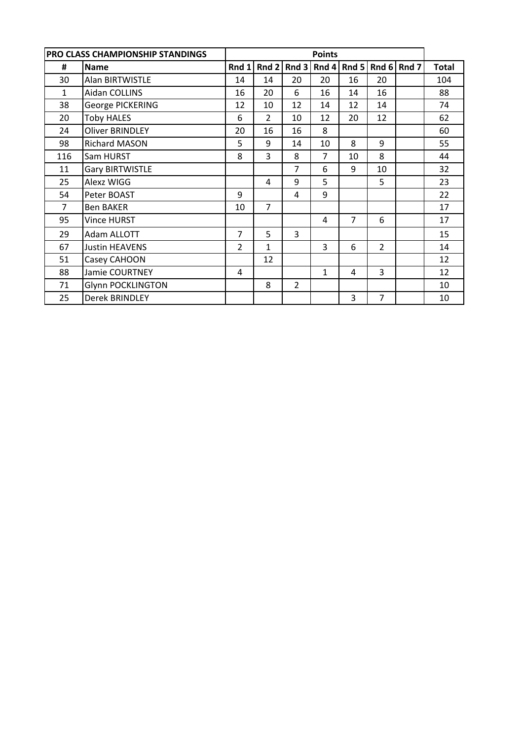|              | <b>PRO CLASS CHAMPIONSHIP STANDINGS</b> |                |                |                |                |                |                |             |              |
|--------------|-----------------------------------------|----------------|----------------|----------------|----------------|----------------|----------------|-------------|--------------|
| #            | <b>Name</b>                             | Rnd 1          | Rnd 2          |                | Rnd $3$ Rnd 4  | Rnd 5          |                | Rnd 6 Rnd 7 | <b>Total</b> |
| 30           | Alan BIRTWISTLE                         | 14             | 14             | 20             | 20             | 16             | 20             |             | 104          |
| $\mathbf{1}$ | Aidan COLLINS                           | 16             | 20             | 6              | 16             | 14             | 16             |             | 88           |
| 38           | George PICKERING                        | 12             | 10             | 12             | 14             | 12             | 14             |             | 74           |
| 20           | <b>Toby HALES</b>                       | 6              | $\overline{2}$ | 10             | 12             | 20             | 12             |             | 62           |
| 24           | <b>Oliver BRINDLEY</b>                  | 20             | 16             | 16             | 8              |                |                |             | 60           |
| 98           | Richard MASON                           | 5              | 9              | 14             | 10             | 8              | 9              |             | 55           |
| 116          | Sam HURST                               | 8              | 3              | 8              | $\overline{7}$ | 10             | 8              |             | 44           |
| 11           | <b>Gary BIRTWISTLE</b>                  |                |                | 7              | 6              | 9              | 10             |             | 32           |
| 25           | Alexz WIGG                              |                | 4              | 9              | 5              |                | 5              |             | 23           |
| 54           | Peter BOAST                             | 9              |                | 4              | 9              |                |                |             | 22           |
| 7            | <b>Ben BAKER</b>                        | 10             | $\overline{7}$ |                |                |                |                |             | 17           |
| 95           | <b>Vince HURST</b>                      |                |                |                | $\overline{a}$ | $\overline{7}$ | 6              |             | 17           |
| 29           | Adam ALLOTT                             | $\overline{7}$ | 5              | $\overline{3}$ |                |                |                |             | 15           |
| 67           | <b>Justin HEAVENS</b>                   | $\overline{2}$ | 1              |                | 3              | 6              | $\overline{2}$ |             | 14           |
| 51           | Casey CAHOON                            |                | 12             |                |                |                |                |             | 12           |
| 88           | Jamie COURTNEY                          | 4              |                |                | 1              | 4              | 3              |             | 12           |
| 71           | <b>Glynn POCKLINGTON</b>                |                | 8              | $\overline{2}$ |                |                |                |             | 10           |
| 25           | Derek BRINDLEY                          |                |                |                |                | 3              | 7              |             | 10           |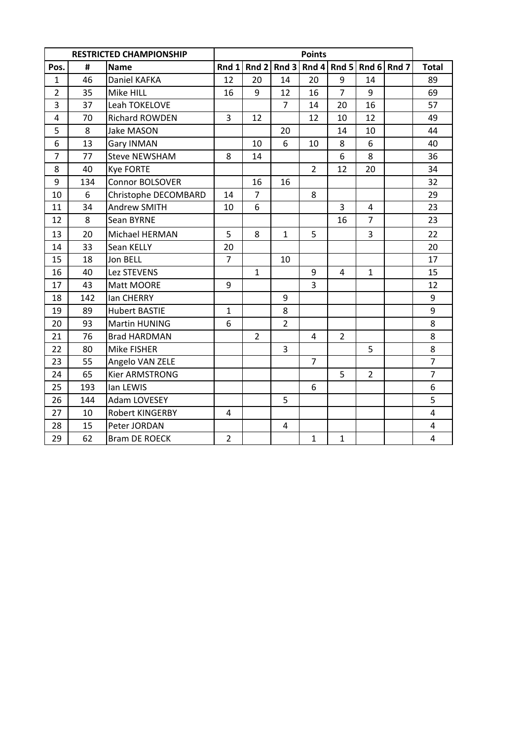|                |     | <b>RESTRICTED CHAMPIONSHIP</b> |                |                |                | <b>Points</b>   |                |                |             |                         |
|----------------|-----|--------------------------------|----------------|----------------|----------------|-----------------|----------------|----------------|-------------|-------------------------|
| Pos.           | #   | <b>Name</b>                    | Rnd 1          | Rnd 2          |                | Rnd $3$ Rnd $4$ | Rnd 5          |                | Rnd 6 Rnd 7 | <b>Total</b>            |
| $\mathbf{1}$   | 46  | Daniel KAFKA                   | 12             | 20             | 14             | 20              | 9              | 14             |             | 89                      |
| $\overline{2}$ | 35  | Mike HILL                      | 16             | 9              | 12             | 16              | $\overline{7}$ | 9              |             | 69                      |
| 3              | 37  | Leah TOKELOVE                  |                |                | $\overline{7}$ | 14              | 20             | 16             |             | 57                      |
| $\overline{4}$ | 70  | Richard ROWDEN                 | 3              | 12             |                | 12              | 10             | 12             |             | 49                      |
| 5              | 8   | Jake MASON                     |                |                | 20             |                 | 14             | 10             |             | 44                      |
| 6              | 13  | Gary INMAN                     |                | 10             | 6              | 10              | 8              | 6              |             | 40                      |
| $\overline{7}$ | 77  | <b>Steve NEWSHAM</b>           | 8              | 14             |                |                 | 6              | 8              |             | 36                      |
| 8              | 40  | <b>Kye FORTE</b>               |                |                |                | $\overline{2}$  | 12             | 20             |             | 34                      |
| 9              | 134 | <b>Connor BOLSOVER</b>         |                | 16             | 16             |                 |                |                |             | 32                      |
| 10             | 6   | Christophe DECOMBARD           | 14             | $\overline{7}$ |                | 8               |                |                |             | 29                      |
| 11             | 34  | Andrew SMITH                   | 10             | 6              |                |                 | 3              | 4              |             | 23                      |
| 12             | 8   | Sean BYRNE                     |                |                |                |                 | 16             | $\overline{7}$ |             | 23                      |
| 13             | 20  | Michael HERMAN                 | 5              | 8              | $\mathbf{1}$   | 5               |                | 3              |             | 22                      |
| 14             | 33  | Sean KELLY                     | 20             |                |                |                 |                |                |             | 20                      |
| 15             | 18  | Jon BELL                       | $\overline{7}$ |                | 10             |                 |                |                |             | 17                      |
| 16             | 40  | Lez STEVENS                    |                | $\mathbf{1}$   |                | 9               | 4              | $\mathbf{1}$   |             | 15                      |
| 17             | 43  | Matt MOORE                     | 9              |                |                | 3               |                |                |             | 12                      |
| 18             | 142 | lan CHERRY                     |                |                | 9              |                 |                |                |             | 9                       |
| 19             | 89  | <b>Hubert BASTIE</b>           | $\mathbf{1}$   |                | 8              |                 |                |                |             | 9                       |
| 20             | 93  | Martin HUNING                  | 6              |                | $\overline{2}$ |                 |                |                |             | 8                       |
| 21             | 76  | <b>Brad HARDMAN</b>            |                | $\overline{2}$ |                | 4               | $\overline{2}$ |                |             | 8                       |
| 22             | 80  | Mike FISHER                    |                |                | 3              |                 |                | 5              |             | 8                       |
| 23             | 55  | Angelo VAN ZELE                |                |                |                | $\overline{7}$  |                |                |             | $\overline{7}$          |
| 24             | 65  | Kier ARMSTRONG                 |                |                |                |                 | 5              | $\overline{2}$ |             | $\overline{7}$          |
| 25             | 193 | lan LEWIS                      |                |                |                | 6               |                |                |             | 6                       |
| 26             | 144 | Adam LOVESEY                   |                |                | 5              |                 |                |                |             | 5                       |
| 27             | 10  | Robert KINGERBY                | 4              |                |                |                 |                |                |             | $\overline{\mathbf{4}}$ |
| 28             | 15  | Peter JORDAN                   |                |                | 4              |                 |                |                |             | 4                       |
| 29             | 62  | <b>Bram DE ROECK</b>           | $\overline{2}$ |                |                | $\mathbf{1}$    | $\mathbf{1}$   |                |             | $\overline{\mathbf{4}}$ |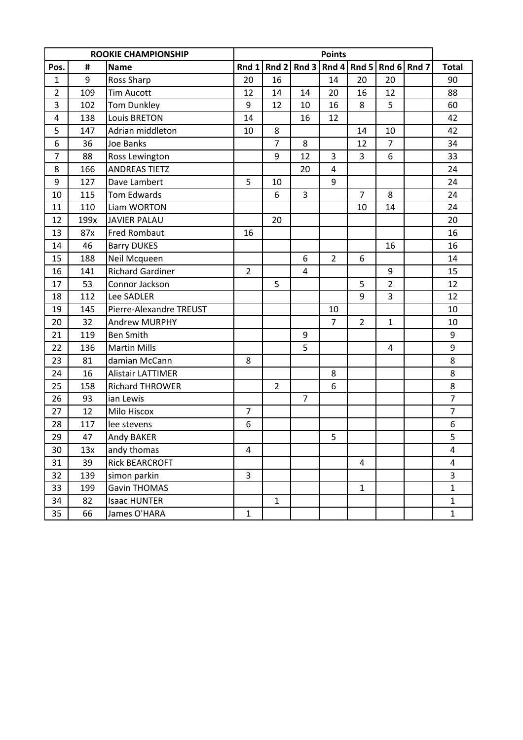|                |      | <b>ROOKIE CHAMPIONSHIP</b> |                  |                |                  | <b>Points</b>  |                |                   |                |
|----------------|------|----------------------------|------------------|----------------|------------------|----------------|----------------|-------------------|----------------|
| Pos.           | #    | <b>Name</b>                | Rnd 1            | Rnd $2$        | Rnd 3            | Rnd 4          |                | Rnd 5 Rnd 6 Rnd 7 | <b>Total</b>   |
| $\mathbf{1}$   | 9    | Ross Sharp                 | 20               | 16             |                  | 14             | 20             | 20                | 90             |
| $\overline{2}$ | 109  | <b>Tim Aucott</b>          | 12               | 14             | 14               | 20             | 16             | 12                | 88             |
| 3              | 102  | Tom Dunkley                | 9                | 12             | 10               | 16             | 8              | 5                 | 60             |
| 4              | 138  | <b>Louis BRETON</b>        | 14               |                | 16               | 12             |                |                   | 42             |
| 5              | 147  | Adrian middleton           | 10               | 8              |                  |                | 14             | 10                | 42             |
| 6              | 36   | Joe Banks                  |                  | $\overline{7}$ | 8                |                | 12             | $\overline{7}$    | 34             |
| $\overline{7}$ | 88   | Ross Lewington             |                  | 9              | 12               | $\overline{3}$ | 3              | 6                 | 33             |
| 8              | 166  | <b>ANDREAS TIETZ</b>       |                  |                | 20               | 4              |                |                   | 24             |
| 9              | 127  | Dave Lambert               | 5                | 10             |                  | 9              |                |                   | 24             |
| 10             | 115  | Tom Edwards                |                  | 6              | 3                |                | $\overline{7}$ | 8                 | 24             |
| 11             | 110  | Liam WORTON                |                  |                |                  |                | 10             | 14                | 24             |
| 12             | 199x | <b>JAVIER PALAU</b>        |                  | 20             |                  |                |                |                   | 20             |
| 13             | 87x  | <b>Fred Rombaut</b>        | 16               |                |                  |                |                |                   | 16             |
| 14             | 46   | <b>Barry DUKES</b>         |                  |                |                  |                |                | 16                | 16             |
| 15             | 188  | Neil Mcqueen               |                  |                | 6                | $\overline{2}$ | 6              |                   | 14             |
| 16             | 141  | <b>Richard Gardiner</b>    | $\overline{2}$   |                | 4                |                |                | 9                 | 15             |
| 17             | 53   | Connor Jackson             |                  | 5              |                  |                | 5              | $\overline{2}$    | 12             |
| 18             | 112  | Lee SADLER                 |                  |                |                  |                | 9              | 3                 | 12             |
| 19             | 145  | Pierre-Alexandre TREUST    |                  |                |                  | 10             |                |                   | 10             |
| 20             | 32   | <b>Andrew MURPHY</b>       |                  |                |                  | $\overline{7}$ | $\overline{2}$ | $\mathbf{1}$      | 10             |
| 21             | 119  | <b>Ben Smith</b>           |                  |                | $\boldsymbol{9}$ |                |                |                   | 9              |
| 22             | 136  | <b>Martin Mills</b>        |                  |                | 5                |                |                | 4                 | 9              |
| 23             | 81   | damian McCann              | 8                |                |                  |                |                |                   | 8              |
| 24             | 16   | <b>Alistair LATTIMER</b>   |                  |                |                  | 8              |                |                   | 8              |
| 25             | 158  | <b>Richard THROWER</b>     |                  | $\overline{2}$ |                  | 6              |                |                   | 8              |
| 26             | 93   | ian Lewis                  |                  |                | $\overline{7}$   |                |                |                   | $\overline{7}$ |
| 27             | 12   | Milo Hiscox                | $\overline{7}$   |                |                  |                |                |                   | $\overline{7}$ |
| 28             | 117  | lee stevens                | $\boldsymbol{6}$ |                |                  |                |                |                   | 6              |
| 29             | 47   | Andy BAKER                 |                  |                |                  | 5              |                |                   | 5              |
| 30             | 13x  | andy thomas                | 4                |                |                  |                |                |                   | 4              |
| 31             | 39   | <b>Rick BEARCROFT</b>      |                  |                |                  |                | 4              |                   | 4              |
| 32             | 139  | simon parkin               | 3                |                |                  |                |                |                   | $\overline{3}$ |
| 33             | 199  | Gavin THOMAS               |                  |                |                  |                | $\mathbf{1}$   |                   | $\mathbf{1}$   |
| 34             | 82   | <b>Isaac HUNTER</b>        |                  | $\mathbf{1}$   |                  |                |                |                   | $\mathbf 1$    |
| 35             | 66   | James O'HARA               | $\mathbf{1}$     |                |                  |                |                |                   | $\mathbf{1}$   |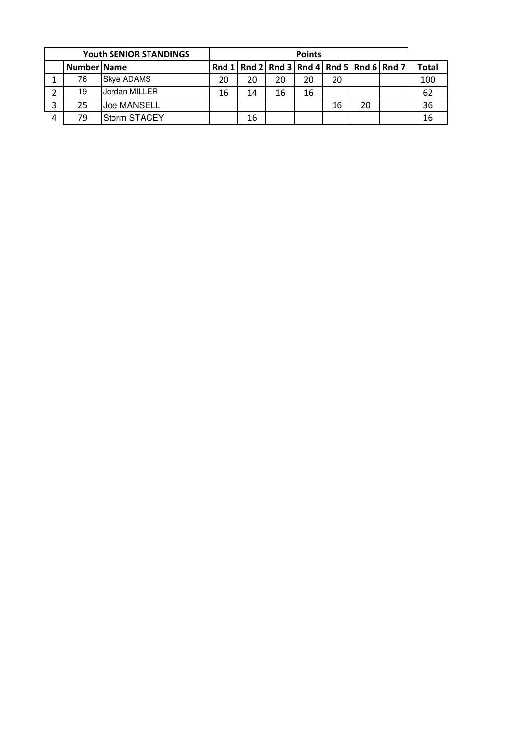| <b>Youth SENIOR STANDINGS</b> |             |                     |    | <b>Points</b> |    |    |    |    |                                                       |              |  |  |
|-------------------------------|-------------|---------------------|----|---------------|----|----|----|----|-------------------------------------------------------|--------------|--|--|
|                               | Number Name |                     |    |               |    |    |    |    | Rnd 1   Rnd 2   Rnd 3   Rnd 4   Rnd 5   Rnd 6   Rnd 7 | <b>Total</b> |  |  |
|                               | 76          | <b>Skye ADAMS</b>   | 20 | 20            | 20 | 20 | 20 |    |                                                       | 100          |  |  |
|                               | 19          | Jordan MILLER       | 16 | 14            | 16 | 16 |    |    |                                                       | 62           |  |  |
| 3                             | 25          | <b>Joe MANSELL</b>  |    |               |    |    | 16 | 20 |                                                       | 36           |  |  |
|                               | 79          | <b>Storm STACEY</b> |    | 16            |    |    |    |    |                                                       | 16           |  |  |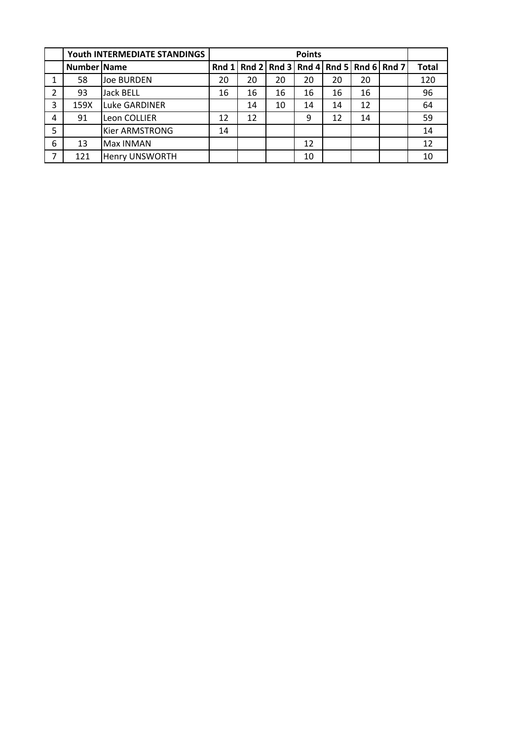|                |             | Youth INTERMEDIATE STANDINGS |    |    |                                           |    |    |    |              |
|----------------|-------------|------------------------------|----|----|-------------------------------------------|----|----|----|--------------|
|                | Number Name |                              |    |    | Rnd 1 Rnd 2 Rnd 3 Rnd 4 Rnd 5 Rnd 6 Rnd 7 |    |    |    | <b>Total</b> |
|                | 58          | <b>Joe BURDEN</b>            | 20 | 20 | 20                                        | 20 | 20 | 20 | 120          |
| $\overline{2}$ | 93          | <b>Jack BELL</b>             | 16 | 16 | 16                                        | 16 | 16 | 16 | 96           |
| 3              | 159X        | <b>Luke GARDINER</b>         |    | 14 | 10                                        | 14 | 14 | 12 | 64           |
| 4              | 91          | Leon COLLIER                 | 12 | 12 |                                           | 9  | 12 | 14 | 59           |
| 5              |             | <b>Kier ARMSTRONG</b>        | 14 |    |                                           |    |    |    | 14           |
| 6              | 13          | <b>Max INMAN</b>             |    |    |                                           | 12 |    |    | 12           |
| $\overline{7}$ | 121         | <b>Henry UNSWORTH</b>        |    |    |                                           | 10 |    |    | 10           |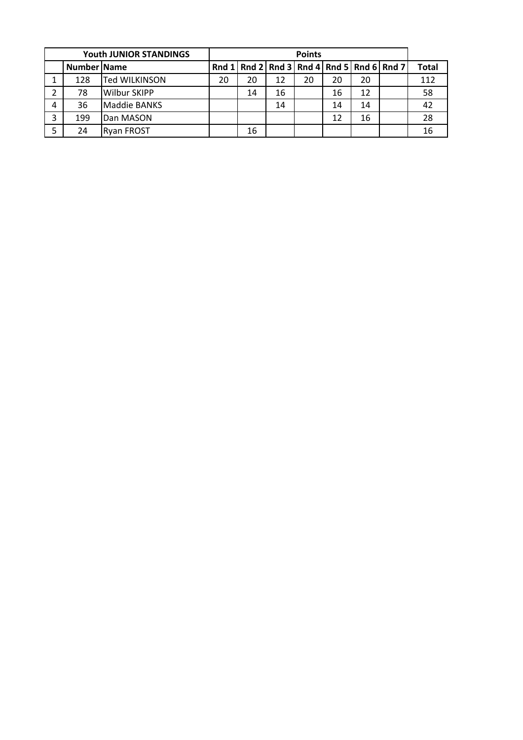|   |             | <b>Youth JUNIOR STANDINGS</b> |    |    |    |    |    |    |                                                       |              |
|---|-------------|-------------------------------|----|----|----|----|----|----|-------------------------------------------------------|--------------|
|   | Number Name |                               |    |    |    |    |    |    | Rnd 1   Rnd 2   Rnd 3   Rnd 4   Rnd 5   Rnd 6   Rnd 7 | <b>Total</b> |
|   | 128         | Ted WILKINSON                 | 20 | 20 | 12 | 20 | 20 | 20 |                                                       | 112          |
| 2 | 78          | <b>Wilbur SKIPP</b>           |    | 14 | 16 |    | 16 | 12 |                                                       | 58           |
| 4 | 36          | Maddie BANKS                  |    |    | 14 |    | 14 | 14 |                                                       | 42           |
| 3 | 199         | Dan MASON                     |    |    |    |    | 12 | 16 |                                                       | 28           |
|   | 24          | <b>Ryan FROST</b>             |    | 16 |    |    |    |    |                                                       | 16           |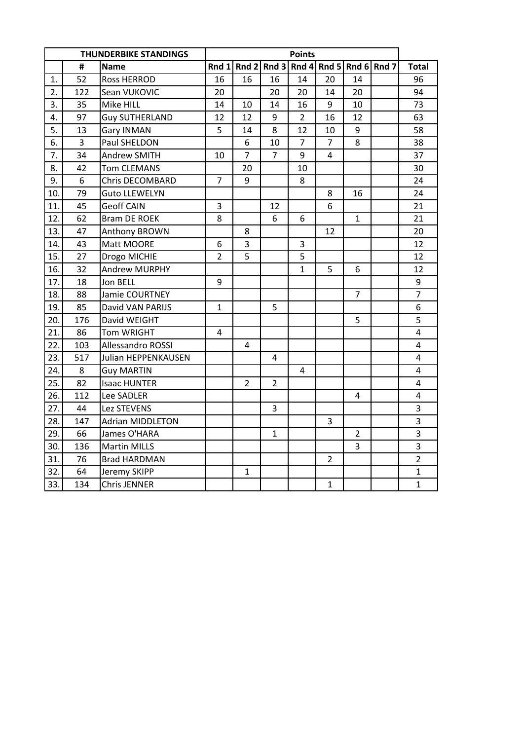|     |                | <b>THUNDERBIKE STANDINGS</b> |                | <b>Points</b>  |                                     |                |                |                |  |                         |  |  |
|-----|----------------|------------------------------|----------------|----------------|-------------------------------------|----------------|----------------|----------------|--|-------------------------|--|--|
|     | $\pmb{\sharp}$ | <b>Name</b>                  | Rnd $1$        |                | Rnd 2 Rnd 3 Rnd 4 Rnd 5 Rnd 6 Rnd 7 |                |                |                |  | <b>Total</b>            |  |  |
| 1.  | 52             | <b>Ross HERROD</b>           | 16             | 16             | 16                                  | 14             | 20             | 14             |  | 96                      |  |  |
| 2.  | 122            | Sean VUKOVIC                 | 20             |                | 20                                  | 20             | 14             | 20             |  | 94                      |  |  |
| 3.  | 35             | Mike HILL                    | 14             | 10             | 14                                  | 16             | 9              | 10             |  | 73                      |  |  |
| 4.  | 97             | <b>Guy SUTHERLAND</b>        | 12             | 12             | 9                                   | $\overline{2}$ | 16             | 12             |  | 63                      |  |  |
| 5.  | 13             | Gary INMAN                   | 5              | 14             | 8                                   | 12             | 10             | 9              |  | 58                      |  |  |
| 6.  | $\overline{3}$ | Paul SHELDON                 |                | 6              | 10                                  | $\overline{7}$ | $\overline{7}$ | 8              |  | 38                      |  |  |
| 7.  | 34             | <b>Andrew SMITH</b>          | 10             | $\overline{7}$ | $\overline{7}$                      | 9              | 4              |                |  | 37                      |  |  |
| 8.  | 42             | <b>Tom CLEMANS</b>           |                | 20             |                                     | 10             |                |                |  | 30                      |  |  |
| 9.  | 6              | Chris DECOMBARD              | $\overline{7}$ | 9              |                                     | 8              |                |                |  | 24                      |  |  |
| 10. | 79             | <b>Guto LLEWELYN</b>         |                |                |                                     |                | 8              | 16             |  | 24                      |  |  |
| 11. | 45             | <b>Geoff CAIN</b>            | 3              |                | 12                                  |                | 6              |                |  | 21                      |  |  |
| 12. | 62             | <b>Bram DE ROEK</b>          | 8              |                | 6                                   | 6              |                | $\mathbf{1}$   |  | 21                      |  |  |
| 13. | 47             | Anthony BROWN                |                | 8              |                                     |                | 12             |                |  | 20                      |  |  |
| 14. | 43             | Matt MOORE                   | 6              | 3              |                                     | 3              |                |                |  | 12                      |  |  |
| 15. | 27             | Drogo MICHIE                 | $\overline{2}$ | 5              |                                     | 5              |                |                |  | 12                      |  |  |
| 16. | 32             | <b>Andrew MURPHY</b>         |                |                |                                     | $\mathbf{1}$   | 5              | 6              |  | 12                      |  |  |
| 17. | 18             | Jon BELL                     | 9              |                |                                     |                |                |                |  | 9                       |  |  |
| 18. | 88             | Jamie COURTNEY               |                |                |                                     |                |                | $\overline{7}$ |  | $\overline{7}$          |  |  |
| 19. | 85             | David VAN PARIJS             | $\mathbf{1}$   |                | 5                                   |                |                |                |  | 6                       |  |  |
| 20. | 176            | David WEIGHT                 |                |                |                                     |                |                | 5              |  | 5                       |  |  |
| 21. | 86             | Tom WRIGHT                   | 4              |                |                                     |                |                |                |  | 4                       |  |  |
| 22. | 103            | Allessandro ROSSI            |                | $\overline{4}$ |                                     |                |                |                |  | $\overline{\mathbf{4}}$ |  |  |
| 23. | 517            | Julian HEPPENKAUSEN          |                |                | $\overline{4}$                      |                |                |                |  | $\overline{\mathbf{4}}$ |  |  |
| 24. | 8              | <b>Guy MARTIN</b>            |                |                |                                     | 4              |                |                |  | $\overline{\mathbf{4}}$ |  |  |
| 25. | 82             | <b>Isaac HUNTER</b>          |                | $\overline{2}$ | $\overline{2}$                      |                |                |                |  | 4                       |  |  |
| 26. | 112            | Lee SADLER                   |                |                |                                     |                |                | 4              |  | $\overline{\mathbf{4}}$ |  |  |
| 27. | 44             | Lez STEVENS                  |                |                | 3                                   |                |                |                |  | 3                       |  |  |
| 28. | 147            | <b>Adrian MIDDLETON</b>      |                |                |                                     |                | 3              |                |  | $\overline{3}$          |  |  |
| 29. | 66             | James O'HARA                 |                |                | $\mathbf{1}$                        |                |                | $\overline{2}$ |  | $\overline{3}$          |  |  |
| 30. | 136            | <b>Martin MILLS</b>          |                |                |                                     |                |                | 3              |  | 3                       |  |  |
| 31. | 76             | <b>Brad HARDMAN</b>          |                |                |                                     |                | $\overline{2}$ |                |  | $\overline{2}$          |  |  |
| 32. | 64             | Jeremy SKIPP                 |                | $\mathbf{1}$   |                                     |                |                |                |  | $\mathbf{1}$            |  |  |
| 33. | 134            | <b>Chris JENNER</b>          |                |                |                                     |                | $\mathbf{1}$   |                |  | $\mathbf{1}$            |  |  |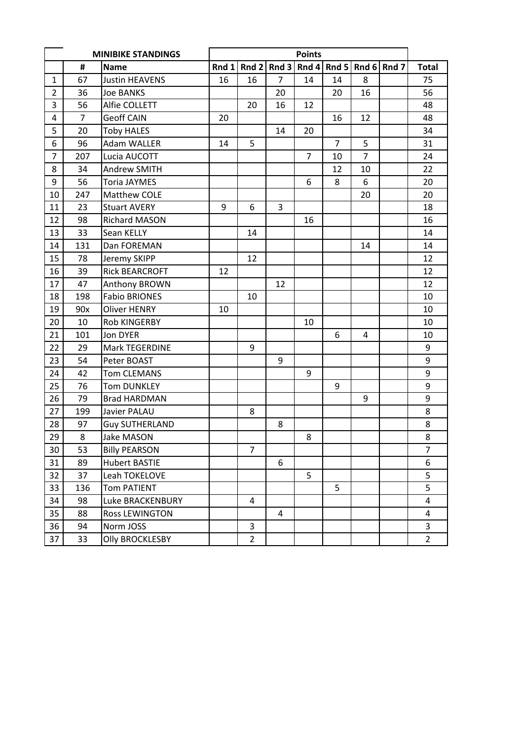|                |                | <b>MINIBIKE STANDINGS</b> | <b>Points</b> |                |       |                |                |                |       |                |
|----------------|----------------|---------------------------|---------------|----------------|-------|----------------|----------------|----------------|-------|----------------|
|                | #              | <b>Name</b>               | Rnd $1$       | Rnd 2          | Rnd 3 | Rnd 4          | Rnd 5          | Rnd 6          | Rnd 7 | <b>Total</b>   |
| $\mathbf{1}$   | 67             | <b>Justin HEAVENS</b>     | 16            | 16             | 7     | 14             | 14             | 8              |       | 75             |
| $\overline{2}$ | 36             | <b>Joe BANKS</b>          |               |                | 20    |                | 20             | 16             |       | 56             |
| 3              | 56             | Alfie COLLETT             |               | 20             | 16    | 12             |                |                |       | 48             |
| 4              | $\overline{7}$ | <b>Geoff CAIN</b>         | 20            |                |       |                | 16             | 12             |       | 48             |
| 5              | 20             | <b>Toby HALES</b>         |               |                | 14    | 20             |                |                |       | 34             |
| 6              | 96             | <b>Adam WALLER</b>        | 14            | 5              |       |                | $\overline{7}$ | 5              |       | 31             |
| $\overline{7}$ | 207            | Lucia AUCOTT              |               |                |       | $\overline{7}$ | 10             | $\overline{7}$ |       | 24             |
| 8              | 34             | <b>Andrew SMITH</b>       |               |                |       |                | 12             | 10             |       | 22             |
| 9              | 56             | <b>Toria JAYMES</b>       |               |                |       | 6              | 8              | 6              |       | 20             |
| 10             | 247            | Matthew COLE              |               |                |       |                |                | 20             |       | 20             |
| 11             | 23             | <b>Stuart AVERY</b>       | 9             | 6              | 3     |                |                |                |       | 18             |
| 12             | 98             | <b>Richard MASON</b>      |               |                |       | 16             |                |                |       | 16             |
| 13             | 33             | Sean KELLY                |               | 14             |       |                |                |                |       | 14             |
| 14             | 131            | Dan FOREMAN               |               |                |       |                |                | 14             |       | 14             |
| 15             | 78             | Jeremy SKIPP              |               | 12             |       |                |                |                |       | 12             |
| 16             | 39             | <b>Rick BEARCROFT</b>     | 12            |                |       |                |                |                |       | 12             |
| 17             | 47             | Anthony BROWN             |               |                | 12    |                |                |                |       | 12             |
| 18             | 198            | <b>Fabio BRIONES</b>      |               | 10             |       |                |                |                |       | 10             |
| 19             | 90x            | <b>Oliver HENRY</b>       | 10            |                |       |                |                |                |       | 10             |
| 20             | 10             | <b>Rob KINGERBY</b>       |               |                |       | 10             |                |                |       | 10             |
| 21             | 101            | Jon DYER                  |               |                |       |                | 6              | 4              |       | 10             |
| 22             | 29             | Mark TEGERDINE            |               | 9              |       |                |                |                |       | 9              |
| 23             | 54             | Peter BOAST               |               |                | 9     |                |                |                |       | 9              |
| 24             | 42             | <b>Tom CLEMANS</b>        |               |                |       | 9              |                |                |       | 9              |
| 25             | 76             | <b>Tom DUNKLEY</b>        |               |                |       |                | 9              |                |       | 9              |
| 26             | 79             | <b>Brad HARDMAN</b>       |               |                |       |                |                | 9              |       | 9              |
| 27             | 199            | Javier PALAU              |               | 8              |       |                |                |                |       | 8              |
| 28             | 97             | <b>Guy SUTHERLAND</b>     |               |                | 8     |                |                |                |       | 8              |
| 29             | 8              | <b>Jake MASON</b>         |               |                |       | 8              |                |                |       | 8              |
| 30             | 53             | <b>Billy PEARSON</b>      |               | $\overline{7}$ |       |                |                |                |       | $\overline{7}$ |
| 31             | 89             | <b>Hubert BASTIE</b>      |               |                | 6     |                |                |                |       | 6              |
| 32             | 37             | Leah TOKELOVE             |               |                |       | 5              |                |                |       | 5              |
| 33             | 136            | Tom PATIENT               |               |                |       |                | 5              |                |       | $\overline{5}$ |
| 34             | 98             | Luke BRACKENBURY          |               | 4              |       |                |                |                |       | $\overline{4}$ |
| 35             | 88             | <b>Ross LEWINGTON</b>     |               |                | 4     |                |                |                |       | $\overline{4}$ |
| 36             | 94             | Norm JOSS                 |               | 3              |       |                |                |                |       | 3              |
| 37             | 33             | <b>Olly BROCKLESBY</b>    |               | $\overline{2}$ |       |                |                |                |       | $\overline{2}$ |